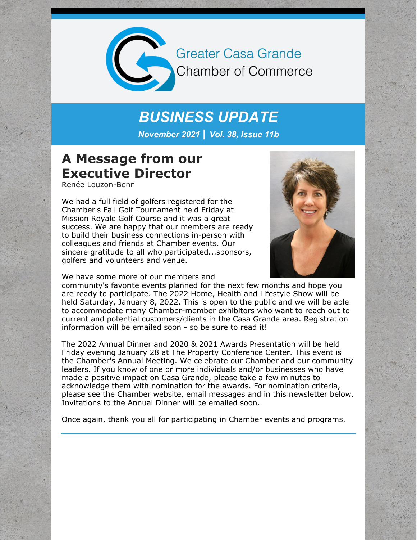

**Greater Casa Grande Chamber of Commerce** 

# *BUSINESS UPDATE*

*November 2021 | Vol. 38, Issue 11b*

### **A Message from our Executive Director**

Renée Louzon-Benn

We had a full field of golfers registered for the Chamber's Fall Golf Tournament held Friday at Mission Royale Golf Course and it was a great success. We are happy that our members are ready to build their business connections in-person with colleagues and friends at Chamber events. Our sincere gratitude to all who participated...sponsors, golfers and volunteers and venue.



We have some more of our members and

community's favorite events planned for the next few months and hope you are ready to participate. The 2022 Home, Health and Lifestyle Show will be held Saturday, January 8, 2022. This is open to the public and we will be able to accommodate many Chamber-member exhibitors who want to reach out to current and potential customers/clients in the Casa Grande area. Registration information will be emailed soon - so be sure to read it!

The 2022 Annual Dinner and 2020 & 2021 Awards Presentation will be held Friday evening January 28 at The Property Conference Center. This event is the Chamber's Annual Meeting. We celebrate our Chamber and our community leaders. If you know of one or more individuals and/or businesses who have made a positive impact on Casa Grande, please take a few minutes to acknowledge them with nomination for the awards. For nomination criteria, please see the Chamber website, email messages and in this newsletter below. Invitations to the Annual Dinner will be emailed soon.

Once again, thank you all for participating in Chamber events and programs.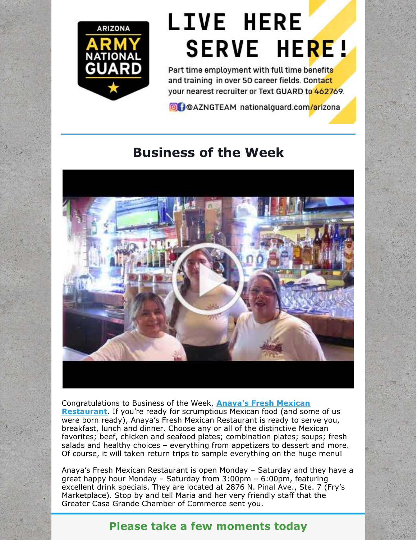

# **LIVE HERE SERVE HERE!**

Part time employment with full time benefits and training in over 50 career fields. Contact your nearest recruiter or Text GUARD to 462769.

**O** POAZNGTEAM nationalguard.com/arizona

# **Business of the Week**



[Congratulations](https://www.anayasrestaurant.online/) to Business of the Week, **Anaya's Fresh Mexican Restaurant**. If you're ready for scrumptious Mexican food (and some of us were born ready), Anaya's Fresh Mexican Restaurant is ready to serve you, breakfast, lunch and dinner. Choose any or all of the distinctive Mexican favorites; beef, chicken and seafood plates; combination plates; soups; fresh salads and healthy choices – everything from appetizers to dessert and more. Of course, it will taken return trips to sample everything on the huge menu!

Anaya's Fresh Mexican Restaurant is open Monday – Saturday and they have a great happy hour Monday – Saturday from 3:00pm – 6:00pm, featuring excellent drink specials. They are located at 2876 N. Pinal Ave., Ste. 7 (Fry's Marketplace). Stop by and tell Maria and her very friendly staff that the Greater Casa Grande Chamber of Commerce sent you.

### **Please take a few moments today**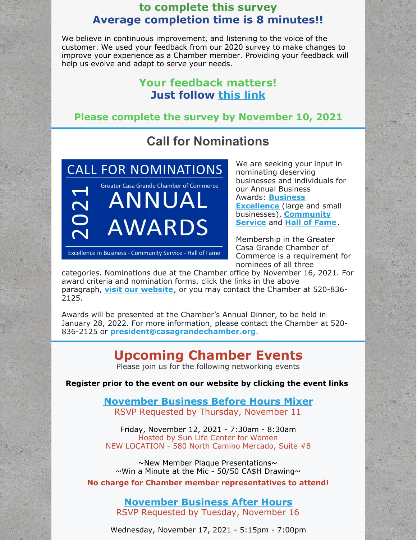### **to complete this survey Average completion time is 8 minutes!!**

We believe in continuous improvement, and listening to the voice of the customer. We used your feedback from our 2020 survey to make changes to improve your experience as a Chamber member. Providing your feedback will help us evolve and adapt to serve your needs.

### **Your feedback matters! Just follow [this](https://r20.rs6.net/tn.jsp?f=001zspR1l6a60AcXkYlklEcoT8qJ0n4Z7UXqCFCyaTM0PyQe29ql-6HFYiOnHApKAK4MQAxBckamf9iwjeZ4f3pb-60qfmx_6tf319see-A9ETGghV1_rEHWXER5v6rUAiuGgQZvk8-Xg9z_UJX2dBZzBvkmVXYy_OaxKD8ymYTx9Q=&c=fRS6RsW3pon22PwHxFc6EQX__bF8eekMUC3gcUKbhZ9poZgD1Rizrw==&ch=Rb8ky8SJsacLZ3ODj1zkeFTswuofsPQAwXUfF_Ej4ZvKLOhylYcfuQ==) link**

### **Please complete the survey by November 10, 2021**

## **Call for Nominations**

**CALL FOR NOMINATIONS** 2021 **Greater Casa Grande Chamber of Commerce** ANNUAL AWARDS

Excellence in Business - Community Service - Hall of Fame

We are seeking your input in nominating deserving businesses and individuals for our Annual Business Awards: **Business [Excellence](https://casagrandechamber.org/wp-content/uploads/2021-Business-Excellence-Criteria.pdf)** (large and small businesses), **[Community](https://casagrandechamber.org/wp-content/uploads/2021-Community-Service-Criteria.pdf) Service** and **Hall of [Fame](https://casagrandechamber.org/wp-content/uploads/2021-Criteria-for-Hall-of-Fame.pdf)**.

Membership in the Greater Casa Grande Chamber of Commerce is a requirement for nominees of all three

categories. Nominations due at the Chamber office by November 16, 2021. For award criteria and nomination forms, click the links in the above paragraph, **visit our [website](https://casagrandechamber.org/chamber-awards/)**, or you may contact the Chamber at 520-836- 2125.

Awards will be presented at the Chamber's Annual Dinner, to be held in January 28, 2022. For more information, please contact the Chamber at 520- 836-2125 or **[president@casagrandechamber.org](mailto:president@casagrandechamber.org)**.

# **Upcoming Chamber Events**

Please join us for the following networking events

**Register prior to the event on our website by clicking the event links**

#### **[November](https://r20.rs6.net/tn.jsp?f=001z7ZSgxE6CI64_Cmfkgo4yM3M0XHLqOW1cc6tQvtEit91D6PeSsh9A0L2d2DNx4jBMbc7NquZh68A5sa_BohPvIuLeP4HNwVOPkahV2tHshbhhXwgvtzNUXffejkewhyIRXvIOeagJ-lg83wsR1h3oiTTbDHXJLlmZd1g6UC-9KYV9-8VKdtimuTJt2qwilt0x8eqMOaW9rhl3l2dtqPOoPKx_dgZgFtrM3fI1kPSWC0=&c=Xn3J9CDvuuV0pFgzRZXkdCY6zkMJHl2Pa1nG6_dbRUxpM7yGQBSIUA==&ch=L1SK3tCw3XNSUQLSyBkmQ12jbSI0aLPaH5wUZw9HsjQynMQiNLa0qg==) Business Before Hours Mixer** RSVP Requested by Thursday, November 11

Friday, November 12, 2021 - 7:30am - 8:30am Hosted by Sun Life Center for Women NEW LOCATION - 580 North Camino Mercado, Suite #8

~New Member Plaque Presentations~  $\sim$ Win a Minute at the Mic - 50/50 CA\$H Drawing $\sim$ 

**No charge for Chamber member representatives to attend!**

**[November](https://cca.casagrandechamber.org/EvtListing.aspx?dbid2=AZCAGR&evtid=21224&class=E) Business After Hours** RSVP Requested by Tuesday, November 16

Wednesday, November 17, 2021 - 5:15pm - 7:00pm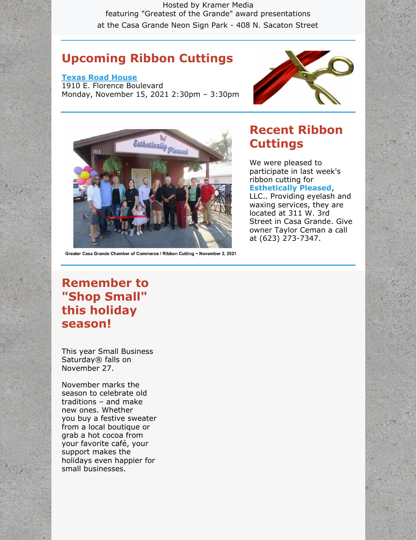Hosted by Kramer Media featuring "Greatest of the Grande" award presentations at the Casa Grande Neon Sign Park - 408 N. Sacaton Street

### **Upcoming Ribbon Cuttings**

#### **Texas Road [House](https://r20.rs6.net/tn.jsp?f=001z7ZSgxE6CI64_Cmfkgo4yM3M0XHLqOW1cc6tQvtEit91D6PeSsh9A0L2d2DNx4jBALelHy-1ElV2wUrtNbRSzFftTKvoRya_c6UsFhl1yIRkNKavdPyNAPXBJ0LTOC8oAUmhc1h7FA3LsgsVrRcqyg==&c=Xn3J9CDvuuV0pFgzRZXkdCY6zkMJHl2Pa1nG6_dbRUxpM7yGQBSIUA==&ch=L1SK3tCw3XNSUQLSyBkmQ12jbSI0aLPaH5wUZw9HsjQynMQiNLa0qg==)**

1910 E. Florence Boulevard Monday, November 15, 2021 2:30pm – 3:30pm





#### Greater Casa Grande Chamber of Commerce / Ribbon Cutting ~ November 2, 2021

### **Recent Ribbon Cuttings**

We were pleased to participate in last week's ribbon cutting for **[Esthetically](http://www.estheticallypleased.com) Pleased**,

LLC.. Providing eyelash and waxing services, they are located at 311 W. 3rd Street in Casa Grande. Give owner Taylor Ceman a call at (623) 273-7347.

### **Remember to "Shop Small" this holiday season!**

This year Small Business Saturday® falls on November 27.

November marks the season to celebrate old traditions – and make new ones. Whether you buy a festive sweater from a local boutique or grab a hot cocoa from your favorite café, your support makes the holidays even happier for small businesses.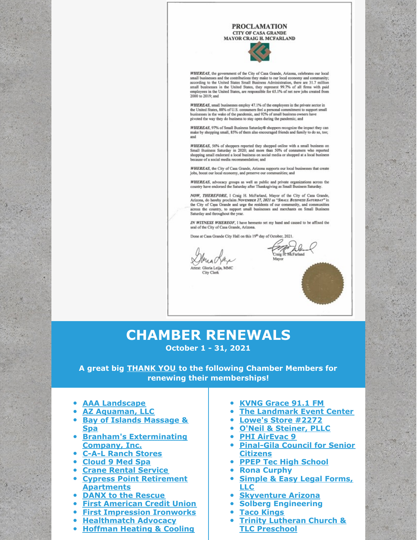#### **PROCLAMATION CITY OF CASA GRANDE**

MAYOR CRAIG H. MCFARLAND



WHEREAS, the government of the City of Casa Grande, Arizona, celebrates our local small businesses and the contributions they make to our local economy and community; according to the United States Small Business Administr mployees in the United States, are responsible for 65.1% of net new jobs created from 2000 to 2019; and

WHEREAS, small businesses employ 47.1% of the employees in the private sector in the United States, 88% of U.S. consumers feel a personal commitment to support sm<br>businesses in the wake of the pandemic, and 92% of small business owners have pivoted the way they do business to stay open during the pandemic; and

WHEREAS, 97% of Small Business Saturday® shoppers recognize the impact they can make by shopping small, 85% of them also encouraged friends and family to do so, too; and

WHEREAS, 56% of shoppers reported they shopped online with a small business on<br>Small Business Saturday in 2020; and more than 50% of consumers who reported shopping small endorsed a local business on social media or shopped at a local business because of a social media recommendation: and

WHEREAS, the City of Casa Grande, Arizona supports our local businesses that create jobs, boost our local economy, and preserve our communities; and

WHEREAS, advocacy groups as well as public and private organizations across the country have endorsed the Saturday after Thanksgiving as Small Business Saturday.

NOW, THEREFORE, 1 Craig H. McFarland, Mayor of the City of Casa Grande, Arizona, do hereby proclaim NovEMBER 27, 2021 as "SMALL BUSINESS SATURDAY" in the City of Casa Grande and urge the residents of our community, and communities across the country, to support small businesses and merchants on Small Business Saturday and throughout the year.

IN WITNESS WHEREOF, I have hereunto set my hand and caused to be affixed the seal of the City of Casa Grande, Arizona.

Done at Casa Grande City Hall on this 19th day of October, 2021.

st: Gloria Leija, MMC City Clerk

Craig H. McFarland Mayor

# **CHAMBER RENEWALS**

**October 1 - 31, 2021**

**A great big THANK YOU to the following Chamber Members for renewing their memberships!**

- **AAA [Landscape](http://www.aaalandscape.com)**
- **AZ [Aquaman,](http://www.azaquaman.com) LLC**
- **Bay of Islands [Massage](http://www.bayofislandsspa.com) & Spa**
- **Branham's [Exterminating](http://www.branhamspest.com) Company, Inc.**
- **C-A-L Ranch [Stores](http://www.calranch.com)**
- **[Cloud](http://www.cloud9medspaaz.com) 9 Med Spa**
- **Crane Rental [Service](http://www.cranerentalserviceaz.com)**
- **Cypress Point Retirement [Apartments](http://www.cypresspointliving.com)**
- **DANX to the [Rescue](http://www.danxrescue.org)**
- **First [American](http://www.firstamerican.org) Credit Union**
- **First [Impression](http://www.firstimpressionironworks.com) Ironworks**
- **[Healthmatch](http://www.healthmatchadvocacy.com) Advocacy**
- **[Hoffman](http://www.heatingandac.net) Heating & Cooling**
- **KVNG [Grace](http://www.grace911.com) 91.1 FM**
- **The [Landmark](http://www.thelandmarkeventcenter.com) Event Center**
- **[Lowe's](http://www.lowes.com) Store #2272**
- **O'Neil & [Steiner,](http://www.oneilsteiner.com) PLLC**
- **PHI [AirEvac](http://www.phiairmedical.com) 9**
- **[Pinal-Gila](http://www.pgcsc.org) Council for Senior Citizens**
- **PPEP Tec High [School](http://www.ppeptechs.org)**
- **Rona Curphy**
- **[Simple](http://www.simpleandeasylegal.com) & Easy Legal Forms,**  $\bullet$ **LLC**
- **[Skyventure](http://www.skyventureaz.com) Arizona**
- **Solberg Engineering**
- **Taco [Kings](http://www.tacokingsaz.com)**
- **Trinity Lutheran Church & TLC [Preschool](http://www.tlcscg.org)**